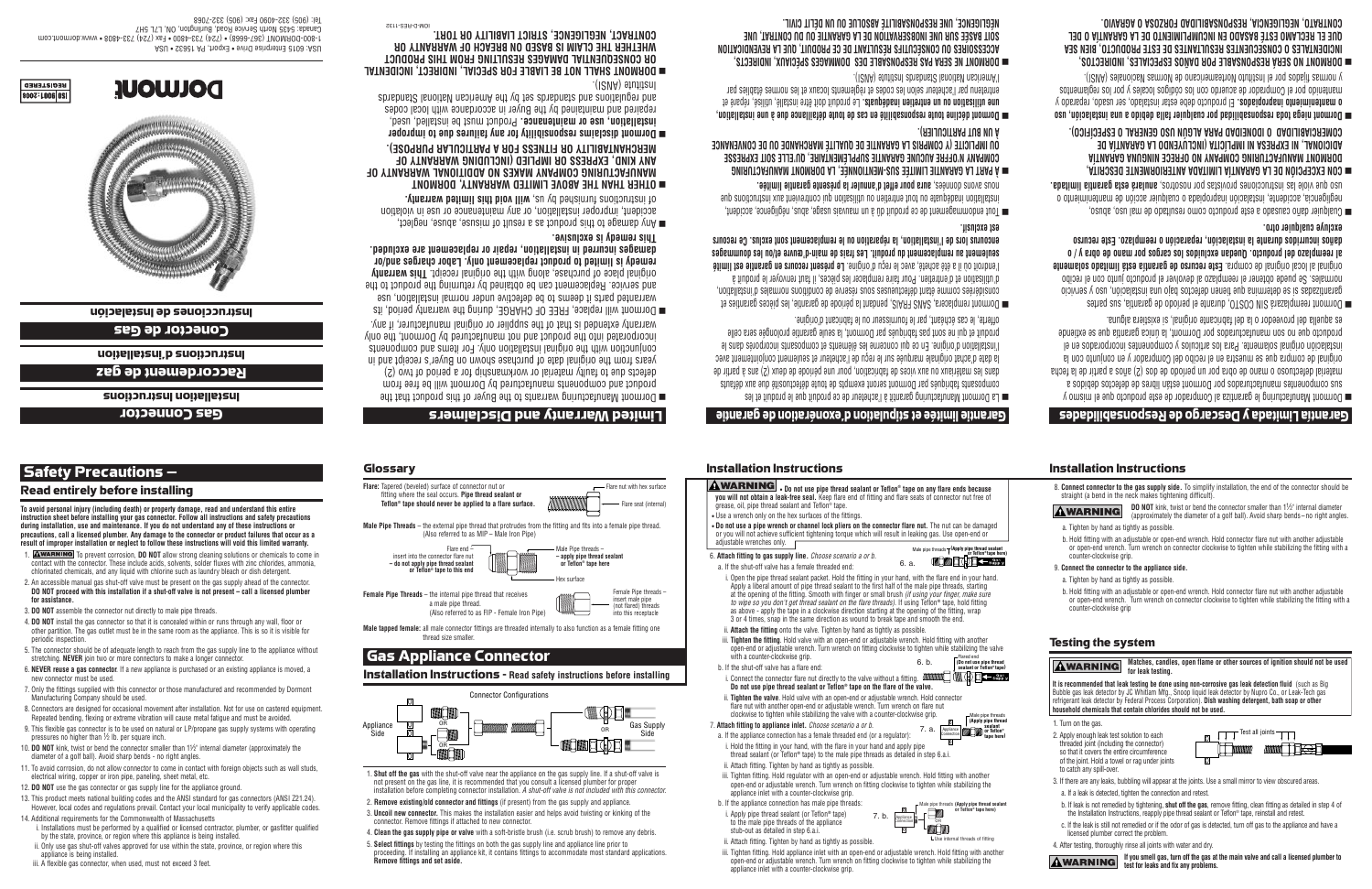## with a counter-clockwise grip. h If the shut-off valve has a flare end i. Connect the connector flare nut directly to the valve without a fitting.  $\dim_{\mathbb{Z}}\left(\mathbb{Z}\right)$ Do not use pipe thread sealant or Teflon® tape on the flare of the valve ii. Tinhten the valve, Hold valve with an onen-end or adjustable wrench. Hold connector flare nut with another open-end or adjustable wrench. Turn wrench on flare nut clockwise to tighten while stabilizing the valve with a counter-clockwise grip. 7. Attach fitting to appliance inlet. Choose scenario a or b. a. If the appliance connection has a female threaded end (or a regulator) i. Hold the fitting in your hand, with the flare in your hand and apply pipe thread sealant (or Teflon® tape) to the male pipe threads as detailed in step 6.a.i ii Attach fitting Tighten by hand as tightly as possible

- ii. Attach the fitting onto the valve. Tighten by hand as tightly as possible. iii. Tighten the fitting. Hold valve with an open-end or adjustable wrench. Hold fitting with another open-end or adjustable wrench. Turn wrench on fitting clockwise to tighten while stabilizing the valve Flared end<br>
(Do not use pipe thread  $6. b.$
- i. Open the pipe thread sealant packet. Hold the fitting in your hand, with the flare end in your hand Apply a liberal amount of pipe thread sealant to the first half of the male pipe threads, starting at the opening of the fitting. Smooth with finger or small brush *(if using your finger, make sure to wine so you don't get thread sealant on the flare threads)*. If using Teflon® tape, hold fitting as above - apply the tape in a clockwise direction starting at the opening of the fitting, wrap 3 or 4 times, snap in the same direction as wound to break tape and smooth the end.
- adjustable wrenches only. 6. Attach fitting to gas supply line. Choose scenario a or b.  $6a$ a If the shut-off valve has a female threaded end
- Male pipe threads  $\top$  (Apply pipe thread sealant **THE EXPLANATION**
- . Do not use a pipe wrench or channel lock pliers on the connector flare nut. The nut can be damaged or you will not achieve sufficient tightening torque which will result in leaking gas. Use onen-end or
- AWARNING . Do not use pipe thread sealant or Teflon® tape on any flare ends because

## Installation Instructions

grease, oil, pipe thread sealant and Teflon® tape

. Use a wrench only on the hex surfaces of the fittings

# <u>Sitnanap eb noita astipulation d'exonération de garantie</u>

you will not obtain a leak-free seal. Keep flare end of fitting and flare seats of connector nut free of

- offerte, le cas echeant, par le fournisseur ou le fabricant d'origine. produit et qui ne sont pas fabriqués par Dormont, la seule garantie prolongée sera celle Tinstallation d'origine. En ce qui concerne les éléments et composants incorporés dans le la date d'achat originale marquee sur le reçu de l'acheteur et seulement conjointement avec dans les matériaux ou aux vices de fabrication, pour une période de deux (2) ans à partir de composants tabriqués par Dormont seront exempts de toute détectuositie due aux détauts  $\Box$  La Dormont Manutacturng garantit a l'acheteur de ce produit que le produit et les
- .tizuloxe ize encourus lors de l'installation, la reparation ou le remplacement sont exclus. Ce recours seniement au remplacement du produit. Les frais de main-d'œuvre et/ou les doummages l'endroit ou il a ete achete, avec le reçu d'origine. Le present recours en garantie est limite á titlisation et d'entretien. Pour faire remplacer les pièces, il faut renvoyer le produit à considérées comme étant défectueuses sous reserve de conditions normales d'institution, ■ Dormont remplacera, SANS FRAIS, pendant la période de garantie, les pièces garanties et
- nous avons données, aura pour effet d'annuler la présente garantie limitée. installation inadéquate ou tout entretien ou utilisation qui contrevient aux instructions que a lout endommagement de ce produit du à un mauvais usage, abus, négligence, accident,
- A UN BUT PARTICULIER). OO IMPLICITE (Y COMPRIS LA GARANTIE DE QUALITE MARCHANDE OU DE CONVENANCE COMPANY N'OFFRE AUCUNE GARANTIE SUPPLEMENTAIRE, QU'ELLE SOIT EXPRESSE MANITICA GARANTIE LIMITÉE SUS-MENTIONNÉE, LA DORMONT MANUFACTURING
- :(IGVA) 91u111201 2D16DN612 I6NO116V N6O119MA entretenu par l'acheteur selon les codes et reglements locaux et les normes établies par to entilisation ou un entretien inadéquats. Le produit doit être installé, utilisé, réparé et ■ Dormont décline toute responsabilité en cas de toute défaillance due à une installation,
- MEGLIGENCE, UNE RESPONSABILITE ABSOLUE OU UN DELIT CIVIL. SOIT BASEE SUR UNE INOBSERVATION DE LA GARANTIE OU DU CONTRAT, UNE ACCESSOIRES OU CONSECUTIFS RESULTANT DE CE PRODUIT, QUE LA REVENDICATION DOBWONL NE SEBV 6V2 BESPONSABLE DES DOMMAGES SPECIAUX, INDIRECTS,
- remedy is limited to product replacement only. Labor charges and/or original place of purchase, along with the original receipt. This warranty and service. Heplacement can be obtained by returning the product to the
- The rections from the solution of the final support of the set of the solution of the support of the support of the support of the support of the support of the support of the support of the support of the support of the s accident, improper installation, or any maintenance or use in violation De Hyd damage to this product as a result of misuse, abuse, neglect,

aamages incurred in instaliation, repair or repiacement are excluded.

warranted parts it deems to be detective under normal installation, use

warranty extended is that of the supplier or original manufacturer, if any.

incorporated into the product and not manutactured by Dormont, the only

conjunction with the original installation only. For items and components

years from the original date of purchase shown on Buyer's receipt and in

detects due to faulty material or workmanship for a period of two (2)

product and components manufactured by Dormont will be free from

Dormont will replace, FREE OF CHARGE, during the warranty period, its

- MERCHANTABILITY OR FITNESS FOR A PARTICULAR PURPOSE). ANY KIND, EXPRESS OR IMPLIED (INCLUDING WARRANTY OF MANUFACTURING COMPANY MAKES NO ADDITIONAL WARRANTY OF OTHER THAN THE ABOVE LIMITED WARRANTY, DORMONT
- and regulations and satisfy the animals on a choice of the subsetted Standards repaired and maintained by the Buyer in accordance with local codes installation, use or maintenance. Product must be installed, used,  $\blacksquare$  Dormont disclaims responsibility for any failures due to improper
- **DOKWONI 2HVEF NOLBE FIVREF FOK 25FCIVE' INDIKECL' INCIDENIVE** .(ISVA) əfutitanl
- **CONTRACT, NEGLIGENCE, STRICT LIABILITY OR TORT.** WHETHER THE CLAIM IS BASED ON BREACH OF WARRANTY OR OR CONSEQUENTIAL DAMAGES RESULTING FROM THIS PRODUCT

### Tel: (905) 332-4090 Fax: (905) 332-7068 Canada: 5435 North Service Road, Burlington, ON, L7L 5H7 moo.from10b.www • 8084-687 (4S1) xs3 • 0084-887 (4S7) • (8086-708) TMOMAOO-008-1 ASU . SSaat A9 , thogx3 . svind saingreth 3 to 3 ASL

**Instrucciones de lnstalación** 

Conector de Gas

uonelleisul b suononisul

Raccordement de gaz

**SUOIJONJISU UOIJPIIBISU** 

**Gas Connector** 

To avoid personal injury (including death) or property damage, read and understand this entire

during installation, use and maintenance. If you do not understand any of these instructions or

instruction sheet before installing your gas connector. Follow all instructions and safety precautions

precautions, call a licensed plumber. Any damage to the connector or product failures that occur as a

1. AWARNING To prevent corrosion, DO NOT allow strong cleaning solutions or chemicals to come in

contact with the connector. These include acids, solvents, solder fluxes with zinc chlorides, ammonia,

result of improper installation or neglect to follow these instructions will yold this limited warranty.

chlorinated chemicals, and any liquid with chlorine such as laundry bleach or dish detergent.

4 **DO NOT** install the gas connector so that it is concealed within or runs through any wall floor or

2. An accessible manual gas shut-off valve must be present on the gas supply ahead of the connector

DO NOT proceed with this installation if a shut-off valve is not present - call a licensed plumber

other partition. The gas outlet must be in the same room as the appliance. This is so it is visible for

5. The connector should be of adequate length to reach from the gas supply line to the appliance without

6. NEVER reuse a gas connector. If a new appliance is purchased or an existing appliance is moved, a

7. Only the fittings supplied with this connector or those manufactured and recommended by Dormon

Repeated bending, flexing or extreme vibration will cause metal fatigue and must be avoided.

10. DO NOT kink, twist or bend the connector smaller than  $1\frac{1}{2}$ " internal diameter (approximately the

8. Connectors are designed for occasional movement after installation. Not for use on castered equipment

9. This flexible gas connector is to be used on natural or LP/propane gas supply systems with operating

11. To avoid corrosion, do not allow connector to come in contact with foreign objects such as wall studs.

13. This product meets national building codes and the ANSI standard for gas connectors (ANSI Z21.24).

Safety Precautions  $-$ 

for assistance

periodic inspection

new connector must be used.

Manufacturing Company should be used.

pressures no higher than 1/2 lb. per square inch.

Read entirely before installing

3. DO NOT assemble the connector nut directly to male pipe threads.

stretching. NEVER join two or more connectors to make a longer connector







Flare end

ctor flare nut

Teflon<sup>®</sup> tape should never be applied to a flare surface.

fitting where the seal occurs. Pipe thread sealant or



Male Pine threads -

Jev curface

apply pipe thread sealant<br>or Teflon® tape here

(Also referred to as FIP - Female Iron Pine)

Male tapped female: all male connector fittings are threaded internally to also function as a female fitting one

**Installation Instructions - Read safety instructions before installing** 

**Connector Configurations** 

1. Shut off the gas with the shut-off valve near the appliance on the gas supply line. If a shut-off valve is

installation before completing connector installation. A shut-off valve is not included with this connecto

proceeding. If installing an appliance kit, it contains fittings to accommodate most standard applications

not present on the gas line, it is recommended that you consult a licensed plumber for proper

3. Uncoil new connector. This makes the installation easier and helps avoid twisting or kinking of the

4. Clean the gas supply pipe or valve with a soft-bristle brush (i.e. scrub brush) to remove any debris

2. Remove existing/old connector and fittings (if present) from the gas supply and appliance.

5. Select fittings by testing the fittings on both the gas supply line and appliance line prior to









anıs temed) is excinsive.



Female Pipe threads

insert male pipe

(not flared) threads

into this receptacle

Gas Supply













- do not apply pipe thread sealant

or Teflon<sup>®</sup> tane to this end

**Female Pipe Threads** – the internal pipe thread that receives

thread size smaller

connector. Remove fittings if attached to new connector.

Remove fittings and set aside.

a male pipe thread.

**Gas Appliance Connector** 









# Glossarv

incert into the conn

Appliance

# DOIMONI Manutacturing warrants to the Buyer of this product that the Limited Warranty and Disclaimers



b. If the appliance connection has male pipe threads  $\Box$ i. Apply pipe thread sealant (or Teflon® tape) 7 h to the male pipe threads of the appliance



 $\bigcap_{n=1}^{\infty}$  Male pipe threads

**OF THE SEARCH OF THE CONDUCT OF THE CONDUCT OF THE CONDUCT OF THE CONDUCT OF THE CONDUCT OF THE CONDUCT OF THE CONDUCT OF THE CONDUCT OF THE CONDUCT OF THE CONDUCT OF THE CONDUCT OF THE CONDUCT OF THE CONDUCT OF THE CONDU** 

- stub-out as detailed in step 6.a.i. ii. Attach fitting. Tighten by hand as tightly as possible.
- iii. Tighten fitting. Hold appliance inlet with an open-end or adjustable wrench. Hold fitting with another open-end or adjustable wrench. Turn wrench on fitting clockwise to tighten while stabilizing the appliance inlet with a counter-clockwise grip

appliance is being installed. iii. A flexible gas connector, when used, must not exceed 3 feet.

However, local codes and regulations prevail. Contact your local municipality to verify applicable codes. 14. Additional requirements for the Commonwealth of Massachusetts i. Installations must be performed by a qualified or licensed contractor, plumber, or gasfitter qualified

diameter of a golf ball). Avoid sharp bends - no right angles.

electrical wiring, copper or iron pipe, paneling, sheet metal, etc.

12. DO NOT use the gas connector or gas supply line for the appliance ground.

by the state, province, or region where this appliance is being installed ii. Only use gas shut-off valves approved for use within the state, province, or region where this

counter-clockwise grip **Testing the system** Matches, candles, open flame or other sources of ignition should not be used **AWARNING** for leak testing. It is recommended that leak testing be done using non-corrosive gas leak detection fluid (such as Big Bubble gas leak detector by JC Whitlam Mfg., Snoop liquid leak detector by Nupro Co., or Leak-Tech gas refrigerant leak detector by Federal Process Corporation). Dish washing detergent, bath soap or other household chemicals that contain chlorides should not be used. 1. Turn on the gas.  $\boxed{1}$  Test all joints  $\boxed{1}$ 2. Apply enough leak test solution to each threaded joint (including the connector) WIN<del>G</del>U so that it covers the entire circumference of the joint. Hold a towel or rag under joints to catch any spill-over. 3. If there are any leaks, bubbling will appear at the joints. Use a small mirror to view obscured areas a. If a leak is detected, tighten the connection and retest. b. If leak is not remedied by tightening, shut off the gas, remove fitting, clean fitting as detailed in step 4 of the Installation Instructions, reapply pipe thread sealant or Teflon® tape, reinstall and retest. c. If the leak is still not remedied or if the odor of gas is detected, turn off gas to the appliance and have a licensed plumber correct the problem 4. After testing, thoroughly rinse all joints with water and dry **AWARNING** If you smell gas, turn off the gas at the main valve and call a licensed plumber to

test for leaks and fix any problems.

9. Connect the connector to the appliance side

- a. Tighten by hand as tightly as possible
- b. Hold fitting with an adjustable or open-end wrench. Hold connector flare nut with another adjustable or open-end wrench. Turn wrench on connector clockwise to tighten while stabilizing the fitting with a

a. Tighten by hand as tightly as possible

**AWARNING** 

counter-clockwise grip.

- Installation Instructions
- 8. Connect connector to the gas supply side. To simplify installation, the end of the connector should be
- 
- straight (a bend in the neck makes tightening difficult)

b. Hold fitting with an adjustable or open-end wrench. Hold connector flare nut with another adjustable

or open-end wrench. Turn wrench on connector clockwise to tighten while stabilizing the fitting with a

**DO NOT** kink, twist or bend the connector smaller than 1½" internal diameter

(approximately the diameter of a golf ball). Avoid sharp bends - no right angles.

- 
- 
- 

# Garantia Limitada y Descargo de Responsabilidades

es aquella del proveedor o la del fabricante original, si existiera alguna. producto que no son manufacturados por Dormont, la unica garantia que se extiende le ne zobstoqnooni zetnenoqmoo y zoluoiths zol shish .etnemites incorporados en el original de compra que se muestra en el recibo del Comprador y en conjunto con la naterial defectuoso o mano de obra por un período de dos (2) años a partir de la fecha sus componentes manufacturados por Dormont están libres de defectos debidos a  $\blacksquare$  Dormont Manufacturing le garantiza al Comprador de este producto que el mismo y

- excinye cnsiquier otro. danos incurridos durante la instalacion, reparacion o reemplazo. Este recurso 9) Leemplazo del producto. Quedan excluidos los cargos por mano de obra y / o original al local original de compra. Este recurso de garantia esta limitado solamente normales. Se puede obtener el reemplazo al devolver el producto junto con el recibo oibivos y osu móibalatami su olad eotos bajo una instalación, uso y servicio  $\blacksquare$  Dormont reemplazará SIN COSTO, durante el período de garantia, sus partes
- .sbstimil sitnstag stze staluns , 201102001 10q 2staivonq eenoiooutizni asl eloiv eup oau negligencia, accidente, instalación inapropiada o cualquier acción de mantenimiento o naidnier dans causado a este producto como resultado de mai uso, abuso,
- COMERCIABILIDAD O IDONEIDAD PARA ALGUN USO GENERAL O ESPECIFICO). ADICIONAL, NI EXPRESA NI IMPLICITA (INCLUYENDO LA GARANTIA DE DORMONT MANUFACTURING COMPANY NO OFRECE NINGUNA GARANTIA OON EXCEPCION DE LA GARANTIA LIMITADA ANTERIORMENTE DESCRITA,
- y normas fijados por el instituto Norteamericano de Normas Nacionales (ANSI). mantenido por el Gomprador de acuerdo con los codigos locales y por los regiamentos v mantenimiento inapropiados. El producto debe estar instalado, ser usado, reparado y and Dormont niega toda responsabilidad por cualquier falla debido a una instalación, uso
- CONTRATO, NEGLIGENCIA, RESPONSABILIDAD FORZOSA O AGRAVIO. OUE EL RECLAMO ESTE BASADO EN INCUMPLIMIENTO DE LA GARANTIA O DEL INCIDENTALES O CONSECUENTES RESULTANTES DE ESTE PRODUCTO, BIEN SEA DOBWONL NO SEBY BESPONSABLE POR DANOS ESPECIALES, INDIRECTOS,